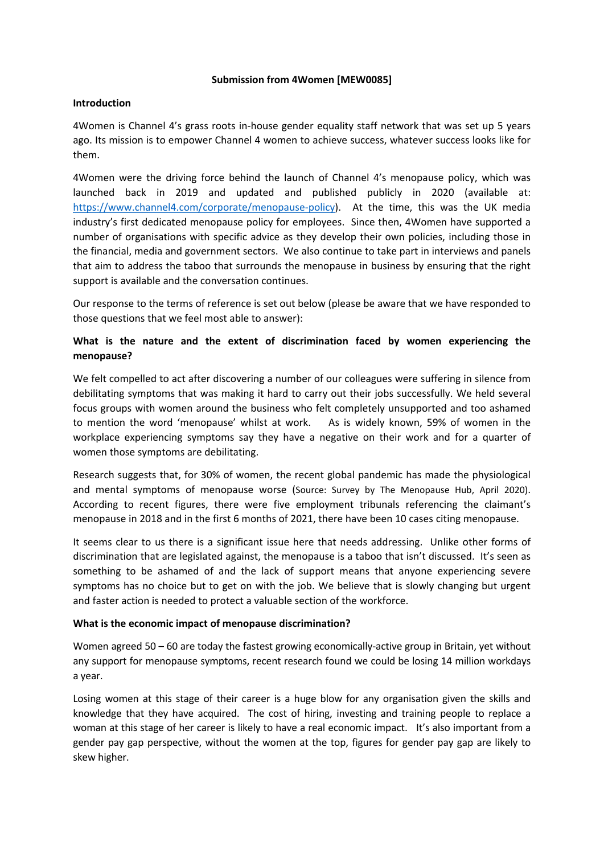#### **Submission from 4Women [MEW0085]**

#### **Introduction**

4Women is Channel 4's grass roots in-house gender equality staff network that was set up 5 years ago. Its mission is to empower Channel 4 women to achieve success, whatever success looks like for them.

4Women were the driving force behind the launch of Channel 4's menopause policy, which was launched back in 2019 and updated and published publicly in 2020 (available at: [https://www.channel4.com/corporate/menopause-policy\)](https://www.channel4.com/corporate/menopause-policy). At the time, this was the UK media industry's first dedicated menopause policy for employees. Since then, 4Women have supported a number of organisations with specific advice as they develop their own policies, including those in the financial, media and government sectors. We also continue to take part in interviews and panels that aim to address the taboo that surrounds the menopause in business by ensuring that the right support is available and the conversation continues.

Our response to the terms of reference is set out below (please be aware that we have responded to those questions that we feel most able to answer):

### **What is the nature and the extent of discrimination faced by women experiencing the menopause?**

We felt compelled to act after discovering a number of our colleagues were suffering in silence from debilitating symptoms that was making it hard to carry out their jobs successfully. We held several focus groups with women around the business who felt completely unsupported and too ashamed to mention the word 'menopause' whilst at work. As is widely known, 59% of women in the workplace experiencing symptoms say they have a negative on their work and for a quarter of women those symptoms are debilitating.

Research suggests that, for 30% of women, the recent global pandemic has made the physiological and mental symptoms of menopause worse (Source: Survey by The Menopause Hub, April 2020). According to recent figures, there were five employment tribunals referencing the claimant's menopause in 2018 and in the first 6 months of 2021, there have been 10 cases citing menopause.

It seems clear to us there is a significant issue here that needs addressing. Unlike other forms of discrimination that are legislated against, the menopause is a taboo that isn't discussed. It's seen as something to be ashamed of and the lack of support means that anyone experiencing severe symptoms has no choice but to get on with the job. We believe that is slowly changing but urgent and faster action is needed to protect a valuable section of the workforce.

#### **What is the economic impact of menopause discrimination?**

Women agreed 50 – 60 are today the fastest growing economically-active group in Britain, yet without any support for menopause symptoms, recent research found we could be losing 14 million workdays a year.

Losing women at this stage of their career is a huge blow for any organisation given the skills and knowledge that they have acquired. The cost of hiring, investing and training people to replace a woman at this stage of her career is likely to have a real economic impact. It's also important from a gender pay gap perspective, without the women at the top, figures for gender pay gap are likely to skew higher.